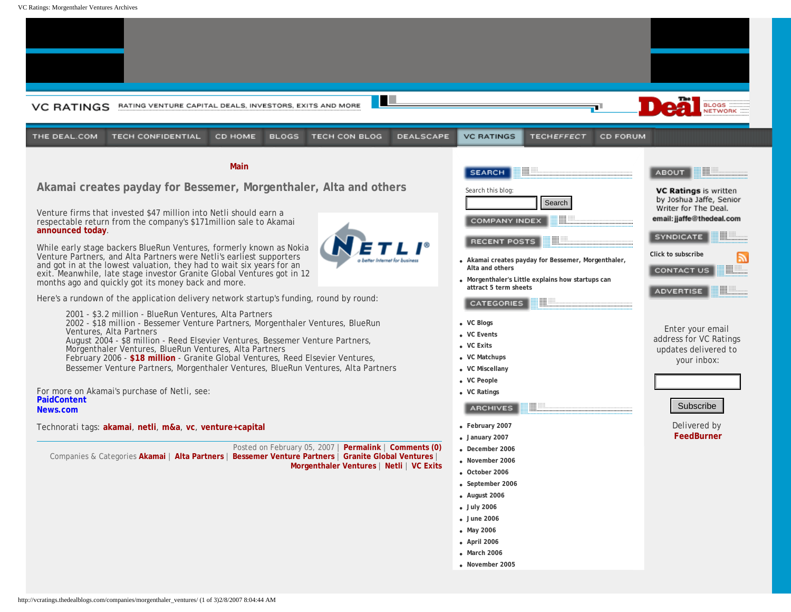<span id="page-0-0"></span>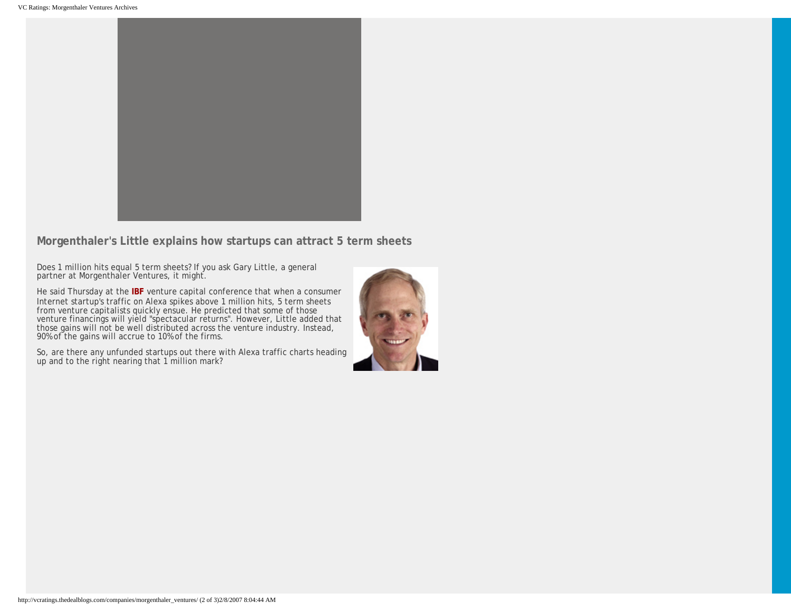

**Morgenthaler's Little explains how startups can attract 5 term sheets**

Does 1 million hits equal 5 term sheets? If you ask Gary Little, a general partner at Morgenthaler Ventures, it might.

He said Thursday at the **[IBF](http://www.ibfconferences.com/ibf/viewdetails.asp?lstconfname=165)** venture capital conference that when a consumer Internet startup's traffic on Alexa spikes above 1 million hits, 5 term sheets from venture capitalists quickly ensue. He predicted that some of those venture financings will yield "spectacular returns". However, Little added that those gains will not be well distributed across the venture industry. Instead, 90% of the gains will accrue to 10% of the firms.

So, are there any unfunded startups out there with Alexa traffic charts heading up and to the right nearing that 1 million mark?